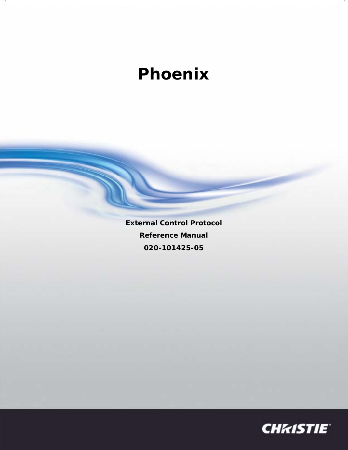## **Phoenix**

**External Control Protocol Reference Manual 020-101425-05**

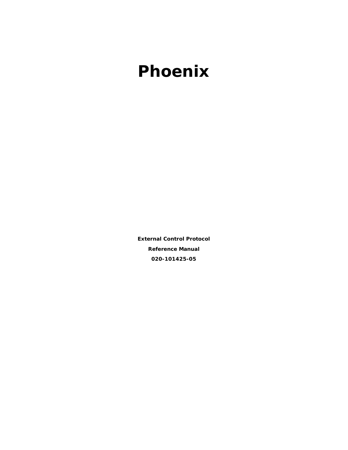## **Phoenix**

**External Control Protocol Reference Manual 020-101425-05**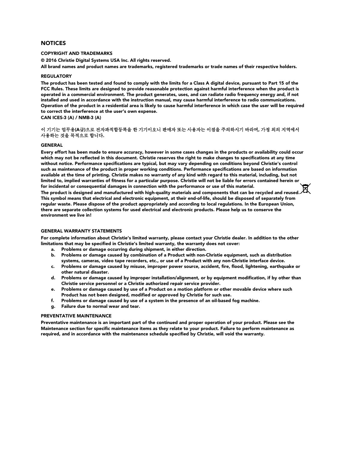#### **NOTICES**

#### COPYRIGHT AND TRADEMARKS

© 2016 Christie Digital Systems USA Inc. All rights reserved.

All brand names and product names are trademarks, registered trademarks or trade names of their respective holders.

#### **REGULATORY**

The product has been tested and found to comply with the limits for a Class A digital device, pursuant to Part 15 of the FCC Rules. These limits are designed to provide reasonable protection against harmful interference when the product is operated in a commercial environment. The product generates, uses, and can radiate radio frequency energy and, if not installed and used in accordance with the instruction manual, may cause harmful interference to radio communications. Operation of the product in a residential area is likely to cause harmful interference in which case the user will be required to correct the interference at the user's own expense.

CAN ICES-3 (A) / NMB-3 (A)

#### 이 기기는 업무용(A급)으로 전자파적합등록을 한 기기이오니 판매자 또는 사용자는 이점을 주의하시기 바라며, 가정 외의 지역에서 사용하는 것을 목적으로 합니다.

#### GENERAL

Every effort has been made to ensure accuracy, however in some cases changes in the products or availability could occur which may not be reflected in this document. Christie reserves the right to make changes to specifications at any time without notice. Performance specifications are typical, but may vary depending on conditions beyond Christie's control such as maintenance of the product in proper working conditions. Performance specifications are based on information available at the time of printing. Christie makes no warranty of any kind with regard to this material, including, but not limited to, implied warranties of fitness for a particular purpose. Christie will not be liable for errors contained herein or for incidental or consequential damages in connection with the performance or use of this material. The product is designed and manufactured with high-quality materials and components that can be recycled and reused. This symbol means that electrical and electronic equipment, at their end-of-life, should be disposed of separately from regular waste. Please dispose of the product appropriately and according to local regulations. In the European Union, there are separate collection systems for used electrical and electronic products. Please help us to conserve the environment we live in!

#### GENERAL WARRANTY STATEMENTS

For complete information about Christie's limited warranty, please contact your Christie dealer. In addition to the other limitations that may be specified in Christie's limited warranty, the warranty does not cover:

- a. Problems or damage occurring during shipment, in either direction.
- b. Problems or damage caused by combination of a Product with non-Christie equipment, such as distribution systems, cameras, video tape recorders, etc., or use of a Product with any non-Christie interface device.
- c. Problems or damage caused by misuse, improper power source, accident, fire, flood, lightening, earthquake or other natural disaster.
- d. Problems or damage caused by improper installation/alignment, or by equipment modification, if by other than Christie service personnel or a Christie authorized repair service provider.
- e. Problems or damage caused by use of a Product on a motion platform or other movable device where such Product has not been designed, modified or approved by Christie for such use.
- f. Problems or damage caused by use of a system in the presence of an oil-based fog machine.
- g. Failure due to normal wear and tear.

#### PREVENTATIVE MAINTENANCE

Preventative maintenance is an important part of the continued and proper operation of your product. Please see the Maintenance section for specific maintenance items as they relate to your product. Failure to perform maintenance as required, and in accordance with the maintenance schedule specified by Christie, will void the warranty.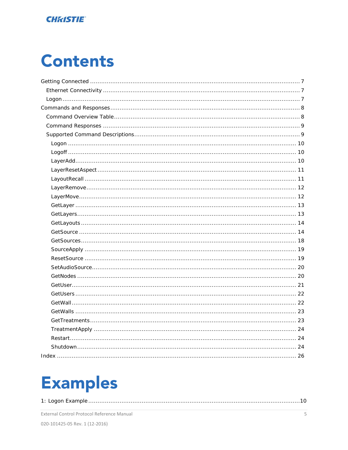### **CHRISTIE**

# **Contents**

# **Examples**

|--|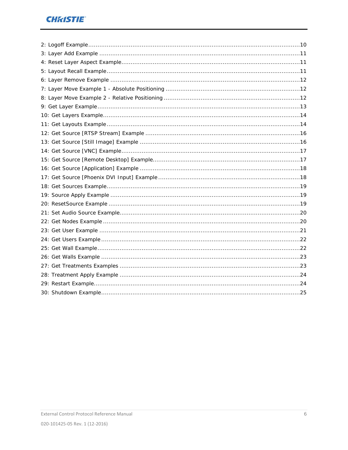## **CHRISTIE**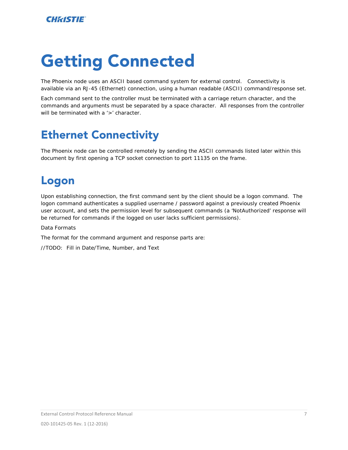# <span id="page-6-0"></span>Getting Connected

The Phoenix node uses an ASCII based command system for external control. Connectivity is available via an RJ-45 (Ethernet) connection, using a human readable (ASCII) command/response set.

Each command sent to the controller must be terminated with a carriage return character, and the commands and arguments must be separated by a space character. All responses from the controller will be terminated with a '>' character.

## <span id="page-6-1"></span>Ethernet Connectivity

The Phoenix node can be controlled remotely by sending the ASCII commands listed later within this document by first opening a TCP socket connection to port 11135 on the frame.

## <span id="page-6-2"></span>Logon

Upon establishing connection, the first command sent by the client should be a logon command. The logon command authenticates a supplied username / password against a previously created Phoenix user account, and sets the permission level for subsequent commands (a 'NotAuthorized' response will be returned for commands if the logged on user lacks sufficient permissions).

Data Formats

The format for the command argument and response parts are:

//TODO: Fill in Date/Time, Number, and Text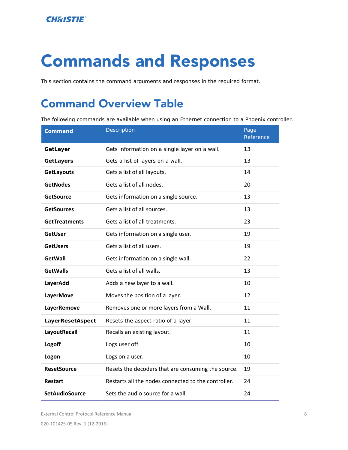# <span id="page-7-0"></span>Commands and Responses

<span id="page-7-1"></span>This section contains the command arguments and responses in the required format.

## Command Overview Table

The following commands are available when using an Ethernet connection to a Phoenix controller.

| <b>Command</b>        | Description                                         | Page<br>Reference |
|-----------------------|-----------------------------------------------------|-------------------|
| GetLayer              | Gets information on a single layer on a wall.       | 13                |
| <b>GetLayers</b>      | Gets a list of layers on a wall.                    | 13                |
| GetLayouts            | Gets a list of all layouts.                         | 14                |
| <b>GetNodes</b>       | Gets a list of all nodes.                           | 20                |
| <b>GetSource</b>      | Gets information on a single source.                | 13                |
| <b>GetSources</b>     | Gets a list of all sources.                         | 13                |
| <b>GetTreatments</b>  | Gets a list of all treatments.                      | 23                |
| <b>GetUser</b>        | Gets information on a single user.                  | 19                |
| <b>GetUsers</b>       | Gets a list of all users.                           | 19                |
| <b>GetWall</b>        | Gets information on a single wall.                  | 22                |
| <b>GetWalls</b>       | Gets a list of all walls.                           | 13                |
| LayerAdd              | Adds a new layer to a wall.                         | 10                |
| <b>LayerMove</b>      | Moves the position of a layer.                      | 12                |
| <b>LayerRemove</b>    | Removes one or more layers from a Wall.             | 11                |
| LayerResetAspect      | Resets the aspect ratio of a layer.                 | 11                |
| LayoutRecall          | Recalls an existing layout.                         | 11                |
| Logoff                | Logs user off.                                      | 10                |
| Logon                 | Logs on a user.                                     | 10                |
| <b>ResetSource</b>    | Resets the decoders that are consuming the source.  | 19                |
| <b>Restart</b>        | Restarts all the nodes connected to the controller. | 24                |
| <b>SetAudioSource</b> | Sets the audio source for a wall.                   | 24                |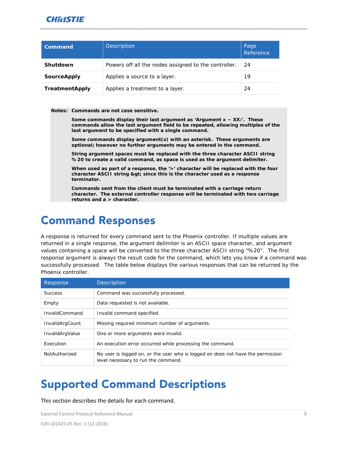

| Command               | <b>Description</b>                                   | Page<br>Reference |
|-----------------------|------------------------------------------------------|-------------------|
| Shutdown              | Powers off all the nodes assigned to the controller. | 24                |
| <b>SourceApply</b>    | Applies a source to a layer.                         | 19                |
| <b>TreatmentApply</b> | Applies a treatment to a layer.                      | 24                |

**Notes: Commands are not case sensitive.**

**Some commands display their last argument as 'Argument x ~ XX:'. These commands allow the last argument field to be repeated, allowing multiples of the last argument to be specified with a single command.**

**Some commands display argument(s) with an asterisk. These arguments are optional; however no further arguments may be entered in the command.**

**String argument spaces must be replaced with the three character ASCII string**  *%20* **to create a valid command, as space is used as the argument delimiter.**

When used as part of a response, the '>' character will be replaced with the four **character ASCII string** *>* **since this is the character used as a response terminator.**

**Commands sent from the client must be terminated with a carriage return character. The external controller response will be terminated with two carriage returns and a > character.**

## <span id="page-8-0"></span>Command Responses

A response is returned for every command sent to the Phoenix controller. If multiple values are returned in a single response, the argument delimiter is an ASCII space character, and argument values containing a space will be converted to the three character ASCII string "%20". The first response argument is always the result code for the command, which lets you know if a command was successfully processed. The table below displays the various responses that can be returned by the Phoenix controller.

| Response              | <b>Description</b>                                                                                                     |
|-----------------------|------------------------------------------------------------------------------------------------------------------------|
| <b>Success</b>        | Command was successfully processed.                                                                                    |
| Empty                 | Data requested is not available.                                                                                       |
| <b>InvalidCommand</b> | Invalid command specified.                                                                                             |
| InvalidArgCount       | Missing required minimum number of arguments.                                                                          |
| InvalidArgValue       | One or more arguments were invalid.                                                                                    |
| Execution             | An execution error occurred while processing the command.                                                              |
| NotAuthorized         | No user is logged on, or the user who is logged on does not have the permission<br>level necessary to run the command. |

## <span id="page-8-1"></span>Supported Command Descriptions

This section describes the details for each command.

External Control Protocol Reference Manual 9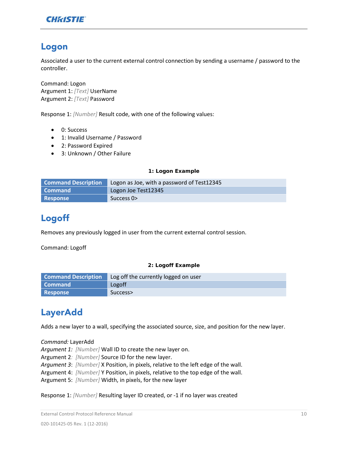

## <span id="page-9-0"></span>Logon

Associated a user to the current external control connection by sending a username / password to the controller.

Command: Logon Argument 1: *[Text]* UserName Argument 2: *[Text]* Password

Response 1: *[Number]* Result code, with one of the following values:

- 0: Success
- 1: Invalid Username / Password
- 2: Password Expired
- 3: Unknown / Other Failure

#### <span id="page-9-3"></span>**1: Logon Example**

| <b>Command Description</b> | Logon as Joe, with a password of Test12345 |
|----------------------------|--------------------------------------------|
| l Command                  | Logon Joe Test12345                        |
| Response                   | Success 0>                                 |

## <span id="page-9-1"></span>Logoff

Removes any previously logged in user from the current external control session.

Command: Logoff

#### <span id="page-9-4"></span>**2: Logoff Example**

| <b>Command Description</b> | Log off the currently logged on user |
|----------------------------|--------------------------------------|
| <b>Command</b>             | Logoff                               |
| <b>Response</b>            | Success>                             |

## <span id="page-9-2"></span>LayerAdd

Adds a new layer to a wall, specifying the associated source, size, and position for the new layer.

*Command:* LayerAdd

*Argument 1: [Number]* Wall ID to create the new layer on.

Argument 2*: [Number]* Source ID for the new layer.

*Argument 3*: *[Number]* X Position, in pixels, relative to the left edge of the wall.

Argument 4: *[Number]* Y Position, in pixels, relative to the top edge of the wall.

Argument 5: *[Number]* Width, in pixels, for the new layer

Response 1: *[Number]* Resulting layer ID created, or -1 if no layer was created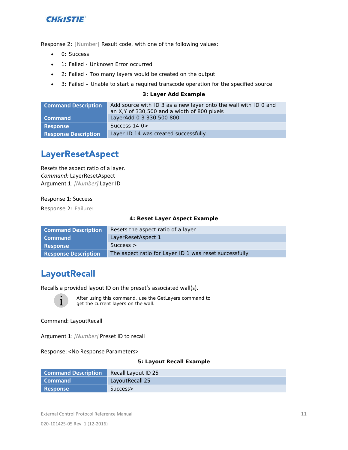

Response 2: *[Number]* Result code, with one of the following values:

- 0: Success
- 1: Failed Unknown Error occurred
- 2: Failed Too many layers would be created on the output
- 3: Failed Unable to start a required transcode operation for the specified source

#### <span id="page-10-2"></span>**3: Layer Add Example**

| <b>Command Description</b>  | Add source with ID 3 as a new layer onto the wall with ID 0 and |
|-----------------------------|-----------------------------------------------------------------|
|                             | an X, Y of 330, 500 and a width of 800 pixels                   |
| <b>Command</b>              | LayerAdd 0 3 330 500 800                                        |
| <b>Response</b>             | Success $140$                                                   |
| <b>Response Description</b> | Layer ID 14 was created successfully                            |

## <span id="page-10-0"></span>LayerResetAspect

Resets the aspect ratio of a layer. *Command:* LayerResetAspect Argument 1: *[Number]* Layer ID

Response 1: Success

Response 2: Failure:

#### <span id="page-10-3"></span>**4: Reset Layer Aspect Example**

| <b>Command Description</b>  | Resets the aspect ratio of a layer                     |
|-----------------------------|--------------------------------------------------------|
| Command                     | LayerResetAspect 1                                     |
| <b>Response</b>             | Success                                                |
| <b>Response Description</b> | The aspect ratio for Layer ID 1 was reset successfully |

### <span id="page-10-1"></span>**LayoutRecall**

Recalls a provided layout ID on the preset's associated wall(s).



After using this command, use the GetLayers command to get the current layers on the wall.

Command: LayoutRecall

Argument 1: *[Number]* Preset ID to recall

Response: <No Response Parameters>

#### <span id="page-10-4"></span>**5: Layout Recall Example**

| <b>Command Description</b> | Recall Layout ID 25 |
|----------------------------|---------------------|
| <b>Command</b>             | LayoutRecall 25     |
| <b>Response</b>            | Success>            |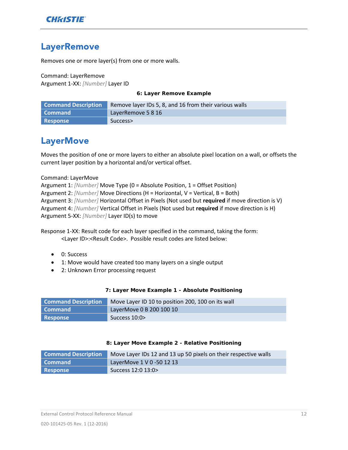

## <span id="page-11-0"></span>**LayerRemove**

Removes one or more layer(s) from one or more walls.

Command: LayerRemove Argument 1-XX: *[Number]* Layer ID

#### <span id="page-11-2"></span>**6: Layer Remove Example**

| <b>Command Description</b> | Remove layer IDs 5, 8, and 16 from their various walls |
|----------------------------|--------------------------------------------------------|
| <b>Command</b>             | LayerRemove 5 8 16                                     |
| <b>Response</b>            | Success>                                               |

### <span id="page-11-1"></span>**LayerMove**

Moves the position of one or more layers to either an absolute pixel location on a wall, or offsets the current layer position by a horizontal and/or vertical offset.

#### Command: LayerMove

```
Argument 1: [Number] Move Type (0 = Absolute Position, 1 = Offset Position)
Argument 2: [Number] Move Directions (H = Horizontal, V = Vertical, B = Both)
Argument 3: [Number] Horizontal Offset in Pixels (Not used but required if move direction is V)
Argument 4: [Number] Vertical Offset in Pixels (Not used but required if move direction is H)
Argument 5-XX: [Number] Layer ID(s) to move
```
Response 1-XX: Result code for each layer specified in the command, taking the form: <Layer ID>:<Result Code>. Possible result codes are listed below:

- 0: Success
- 1: Move would have created too many layers on a single output
- 2: Unknown Error processing request

#### <span id="page-11-3"></span>**7: Layer Move Example 1 - Absolute Positioning**

| <b>Command Description</b> | Move Layer ID 10 to position 200, 100 on its wall |
|----------------------------|---------------------------------------------------|
| Command                    | LayerMove 0 B 200 100 10                          |
| <b>Response</b>            | Success $10:0$                                    |

#### <span id="page-11-4"></span>**8: Layer Move Example 2 - Relative Positioning**

| <b>Command Description</b> | Move Layer IDs 12 and 13 up 50 pixels on their respective walls |
|----------------------------|-----------------------------------------------------------------|
| Command                    | LayerMove 1 V 0 -50 12 13                                       |
| Response                   | Success 12:0 13:0>                                              |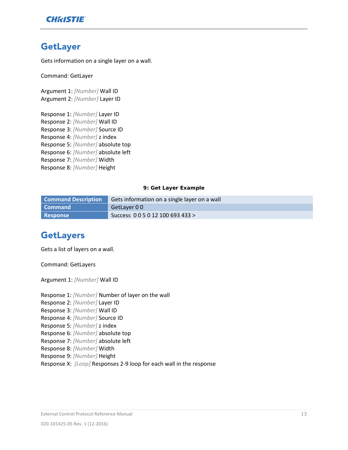

## <span id="page-12-0"></span>GetLayer

Gets information on a single layer on a wall.

Command: GetLayer

Argument 1: *[Number]* Wall ID Argument 2: *[Number]* Layer ID

Response 1: *[Number]* Layer ID Response 2: *[Number]* Wall ID Response 3: *[Number]* Source ID Response 4: *[Number]* z index Response 5: *[Number]* absolute top Response 6: *[Number]* absolute left Response 7: *[Number]* Width Response 8: *[Number]* Height

#### <span id="page-12-2"></span>**9: Get Layer Example**

| <b>Command Description</b> | Gets information on a single layer on a wall |
|----------------------------|----------------------------------------------|
| l Command                  | GetLayer 00                                  |
| <b>Response</b>            | Success 0 0 5 0 12 100 693 433 >             |

### <span id="page-12-1"></span>**GetLayers**

Gets a list of layers on a wall.

Command: GetLayers

Argument 1: *[Number]* Wall ID

Response 1: *[Number]* Number of layer on the wall

- Response 2: *[Number]* Layer ID
- Response 3: *[Number]* Wall ID
- Response 4: *[Number]* Source ID
- Response 5: *[Number]* z index
- Response 6: *[Number]* absolute top
- Response 7: *[Number]* absolute left
- Response 8: *[Number]* Width
- Response 9: *[Number]* Height
- Response X: *[Loop]* Responses 2-9 loop for each wall in the response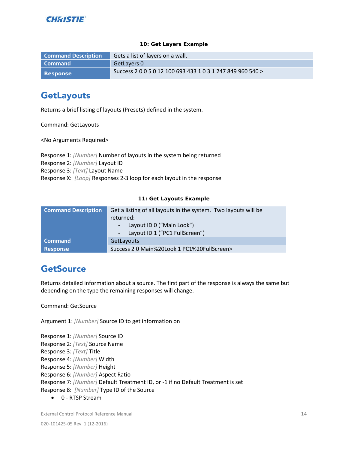#### <span id="page-13-2"></span>**10: Get Layers Example**

| <b>Command Description</b> | Gets a list of layers on a wall.                           |
|----------------------------|------------------------------------------------------------|
| l Command                  | GetLayers 0                                                |
| <b>Response</b>            | Success 2 0 0 5 0 12 100 693 433 1 0 3 1 247 849 960 540 > |

## <span id="page-13-0"></span>**GetLayouts**

Returns a brief listing of layouts (Presets) defined in the system.

Command: GetLayouts

<No Arguments Required>

Response 1: *[Number]* Number of layouts in the system being returned Response 2: *[Number]* Layout ID Response 3: *[Text]* Layout Name Response X: *[Loop]* Responses 2-3 loop for each layout in the response

#### <span id="page-13-3"></span>**11: Get Layouts Example**

| <b>Command Description</b> | Get a listing of all layouts in the system. Two layouts will be<br>returned:<br>Layout ID 0 ("Main Look")<br>Layout ID 1 ("PC1 FullScreen") |
|----------------------------|---------------------------------------------------------------------------------------------------------------------------------------------|
| <b>Command</b>             | <b>GetLayouts</b>                                                                                                                           |
| <b>Response</b>            | Success 2 0 Main%20Look 1 PC1%20FullScreen>                                                                                                 |

## <span id="page-13-1"></span>**GetSource**

Returns detailed information about a source. The first part of the response is always the same but depending on the type the remaining responses will change.

Command: GetSource

Argument 1: *[Number]* Source ID to get information on

Response 1: *[Number]* Source ID

Response 2: *[Text]* Source Name

Response 3: *[Text]* Title

Response 4: *[Number]* Width

Response 5: *[Number]* Height

Response 6: *[Number]* Aspect Ratio

Response 7: *[Number]* Default Treatment ID, or -1 if no Default Treatment is set

Response 8: *[Number]* Type ID of the Source

• 0 - RTSP Stream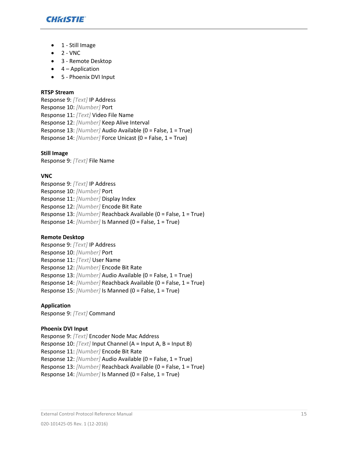

- 1 Still Image
- $\bullet$  2 VNC
- 3 Remote Desktop
- $\bullet$  4 Application
- 5 Phoenix DVI Input

#### **RTSP Stream**

Response 9: *[Text]* IP Address Response 10: *[Number]* Port Response 11: *[Text]* Video File Name Response 12: *[Number]* Keep Alive Interval Response 13: *[Number]* Audio Available (0 = False, 1 = True) Response 14: *[Number]* Force Unicast (0 = False, 1 = True)

#### **Still Image**

Response 9: *[Text]* File Name

#### **VNC**

Response 9: *[Text]* IP Address Response 10: *[Number]* Port Response 11: *[Number]* Display Index Response 12: *[Number]* Encode Bit Rate Response 13: *[Number]* Reachback Available (0 = False, 1 = True) Response 14: *[Number]* Is Manned (0 = False, 1 = True)

#### **Remote Desktop**

Response 9: *[Text]* IP Address Response 10: *[Number]* Port Response 11: *[Text]* User Name Response 12: *[Number]* Encode Bit Rate Response 13: *[Number]* Audio Available (0 = False, 1 = True) Response 14: *[Number]* Reachback Available (0 = False, 1 = True) Response 15: *[Number]* Is Manned (0 = False, 1 = True)

#### **Application**

Response 9: *[Text]* Command

#### **Phoenix DVI Input**

Response 9: *[Text]* Encoder Node Mac Address Response 10: *[Text]* Input Channel (A = Input A, B = Input B) Response 11: *[Number]* Encode Bit Rate Response 12: *[Number]* Audio Available (0 = False, 1 = True) Response 13: *[Number]* Reachback Available (0 = False, 1 = True) Response 14: *[Number]* Is Manned (0 = False, 1 = True)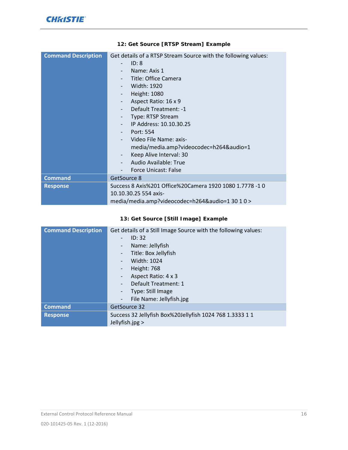| <b>Command Description</b> | Get details of a RTSP Stream Source with the following values: |
|----------------------------|----------------------------------------------------------------|
|                            | ID: 8                                                          |
|                            | Name: Axis 1<br>$\overline{a}$                                 |
|                            | Title: Office Camera                                           |
|                            | Width: 1920                                                    |
|                            | Height: 1080<br>-                                              |
|                            | Aspect Ratio: 16 x 9<br>$\overline{\phantom{a}}$               |
|                            | Default Treatment: -1                                          |
|                            | Type: RTSP Stream                                              |
|                            | IP Address: 10.10.30.25<br>$\overline{\phantom{0}}$            |
|                            | Port: 554<br>$\qquad \qquad -$                                 |
|                            | Video File Name: axis-                                         |
|                            | media/media.amp?videocodec=h264&audio=1                        |
|                            | Keep Alive Interval: 30<br>-                                   |
|                            | Audio Available: True                                          |
|                            | Force Unicast: False                                           |
| <b>Command</b>             | GetSource 8                                                    |
| <b>Response</b>            | Success 8 Axis%201 Office%20Camera 1920 1080 1.7778 -1 0       |
|                            | 10.10.30.25 554 axis-                                          |
|                            | media/media.amp?videocodec=h264&audio=1 30 1 0 >               |

#### <span id="page-15-0"></span>**12: Get Source [RTSP Stream] Example**

#### <span id="page-15-1"></span>**13: Get Source [Still Image] Example**

| <b>Command Description</b> | Get details of a Still Image Source with the following values:<br>ID: 32<br>Name: Jellyfish<br>-<br>Title: Box Jellyfish<br>Width: 1024<br>Height: 768<br>Aspect Ratio: 4 x 3<br>Default Treatment: 1<br>Type: Still Image |
|----------------------------|----------------------------------------------------------------------------------------------------------------------------------------------------------------------------------------------------------------------------|
|                            | File Name: Jellyfish.jpg                                                                                                                                                                                                   |
| <b>Command</b>             | GetSource 32                                                                                                                                                                                                               |
| <b>Response</b>            | Success 32 Jellyfish Box%20Jellyfish 1024 768 1.3333 1 1<br>Jellyfish.jpg >                                                                                                                                                |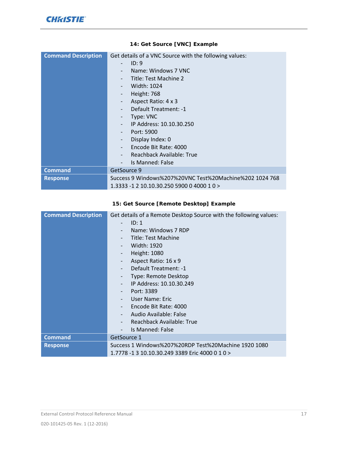| <b>Command Description</b> | Get details of a VNC Source with the following values:  |
|----------------------------|---------------------------------------------------------|
|                            | ID: 9<br>$\qquad \qquad -$                              |
|                            | Name: Windows 7 VNC                                     |
|                            | Title: Test Machine 2<br>$\overline{\phantom{0}}$       |
|                            | Width: 1024                                             |
|                            | Height: 768<br>$\overline{\phantom{a}}$                 |
|                            | Aspect Ratio: 4 x 3<br>$\qquad \qquad \blacksquare$     |
|                            | Default Treatment: -1                                   |
|                            | Type: VNC                                               |
|                            | IP Address: 10.10.30.250                                |
|                            | Port: 5900                                              |
|                            | Display Index: 0                                        |
|                            | Encode Bit Rate: 4000                                   |
|                            | Reachback Available: True                               |
|                            | Is Manned: False                                        |
| <b>Command</b>             | GetSource 9                                             |
| <b>Response</b>            | Success 9 Windows%207%20VNC Test%20Machine%202 1024 768 |
|                            | 1.3333 -1 2 10.10.30.250 5900 0 4000 1 0 >              |

#### <span id="page-16-0"></span>**14: Get Source [VNC] Example**

#### <span id="page-16-1"></span>**15: Get Source [Remote Desktop] Example**

| <b>Command Description</b> | Get details of a Remote Desktop Source with the following values: |
|----------------------------|-------------------------------------------------------------------|
|                            | ID: 1                                                             |
|                            | Name: Windows 7 RDP                                               |
|                            | Title: Test Machine                                               |
|                            | Width: 1920                                                       |
|                            | Height: 1080                                                      |
|                            | Aspect Ratio: 16 x 9<br>$\qquad \qquad \blacksquare$              |
|                            | Default Treatment: -1<br>$\overline{\phantom{a}}$                 |
|                            | Type: Remote Desktop<br>$\overline{\phantom{a}}$                  |
|                            | IP Address: 10.10.30.249                                          |
|                            | Port: 3389                                                        |
|                            | User Name: Eric                                                   |
|                            | Encode Bit Rate: 4000                                             |
|                            | Audio Available: False                                            |
|                            | Reachback Available: True                                         |
|                            | Is Manned: False                                                  |
| <b>Command</b>             | GetSource 1                                                       |
| <b>Response</b>            | Success 1 Windows%207%20RDP Test%20Machine 1920 1080              |
|                            | 1.7778 -1 3 10.10.30.249 3389 Eric 4000 0 1 0 >                   |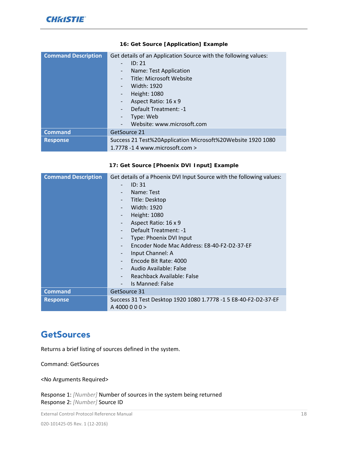| <b>Command Description</b> | Get details of an Application Source with the following values: |
|----------------------------|-----------------------------------------------------------------|
|                            | ID: 21<br>÷                                                     |
|                            | Name: Test Application<br>-                                     |
|                            | <b>Title: Microsoft Website</b><br>-                            |
|                            | Width: 1920<br>-                                                |
|                            | Height: 1080<br>-                                               |
|                            | Aspect Ratio: 16 x 9<br>$\overline{\phantom{0}}$                |
|                            | Default Treatment: -1<br>$\overline{\phantom{0}}$               |
|                            | Type: Web                                                       |
|                            | Website: www.microsoft.com                                      |
| <b>Command</b>             | GetSource 21                                                    |
| <b>Response</b>            | Success 21 Test%20Application Microsoft%20Website 1920 1080     |
|                            | 1.7778 -14 www.microsoft.com >                                  |

#### <span id="page-17-1"></span>**16: Get Source [Application] Example**

#### <span id="page-17-2"></span>**17: Get Source [Phoenix DVI Input] Example**

| <b>Command Description</b> | Get details of a Phoenix DVI Input Source with the following values: |
|----------------------------|----------------------------------------------------------------------|
|                            | ID: 31<br>$\overline{a}$                                             |
|                            | Name: Test<br>-                                                      |
|                            | Title: Desktop<br>-                                                  |
|                            | Width: 1920<br>$\overline{\phantom{0}}$                              |
|                            | Height: 1080<br>-                                                    |
|                            | Aspect Ratio: 16 x 9<br>$\overline{\phantom{0}}$                     |
|                            | Default Treatment: -1<br>$\overline{\phantom{0}}$                    |
|                            | Type: Phoenix DVI Input<br>-                                         |
|                            | Encoder Node Mac Address: E8-40-F2-D2-37-EF                          |
|                            | Input Channel: A                                                     |
|                            | Encode Bit Rate: 4000                                                |
|                            | Audio Available: False                                               |
|                            | Reachback Available: False                                           |
|                            | Is Manned: False                                                     |
| <b>Command</b>             | GetSource 31                                                         |
| <b>Response</b>            | Success 31 Test Desktop 1920 1080 1.7778 -1 5 E8-40-F2-D2-37-EF      |
|                            | A 4000 0 0 0 >                                                       |

## <span id="page-17-0"></span>**GetSources**

Returns a brief listing of sources defined in the system.

Command: GetSources

<No Arguments Required>

Response 1: *[Number]* Number of sources in the system being returned Response 2: *[Number]* Source ID

External Control Protocol Reference Manual 18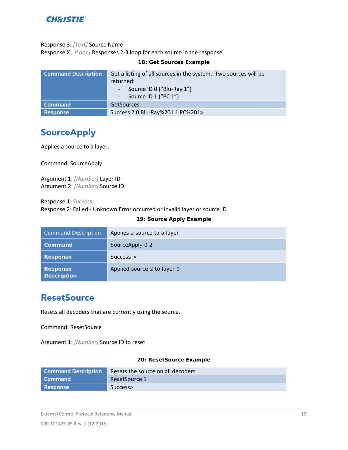

#### Response 3: *[Text]* Source Name

Response X: *[Loop]* Responses 2-3 loop for each source in the response

| <b>Command Description</b> | Get a listing of all sources in the system. Two sources will be<br>returned:<br>Source ID 0 ("Blu-Ray 1")<br>Source ID 1 ("PC 1") |
|----------------------------|-----------------------------------------------------------------------------------------------------------------------------------|
| <b>Command</b>             | <b>GetSources</b>                                                                                                                 |
| Response                   | Success 2 0 Blu-Ray%201 1 PC%201>                                                                                                 |

<span id="page-18-2"></span>**18: Get Sources Example**

## <span id="page-18-0"></span>**SourceApply**

Applies a source to a layer.

Command: SourceApply

Argument 1: *[Number]* Layer ID Argument 2: *[Number]* Source ID

Response 1: *Success*

Response 2: Failed - Unknown Error occurred or invalid layer or source ID

#### <span id="page-18-3"></span>**19: Source Apply Example**

| <b>Command Description</b>            | Applies a source to a layer |
|---------------------------------------|-----------------------------|
| Command                               | SourceApply 0 2             |
| <b>Response</b>                       | $Success$ >                 |
| <b>Response</b><br><b>Description</b> | Applied source 2 to layer 0 |

## <span id="page-18-1"></span>**ResetSource**

Resets all decoders that are currently using the source.

Command: ResetSource

Argument 1: *[Number]* Source ID to reset

#### <span id="page-18-4"></span>**20: ResetSource Example**

| <b>Command Description</b> | Resets the source on all decoders |
|----------------------------|-----------------------------------|
| l Command                  | ResetSource 1                     |
| <b>Response</b>            | Success>                          |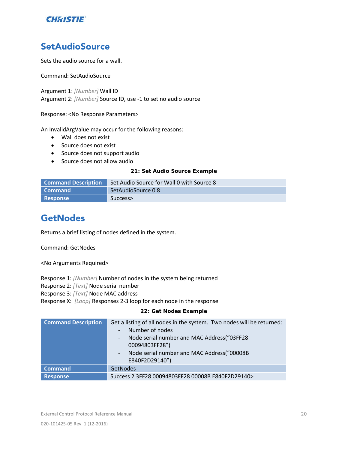

## <span id="page-19-0"></span>**SetAudioSource**

Sets the audio source for a wall.

Command: SetAudioSource

Argument 1: *[Number]* Wall ID Argument 2: *[Number]* Source ID, use -1 to set no audio source

Response: <No Response Parameters>

An InvalidArgValue may occur for the following reasons:

- Wall does not exist
- Source does not exist
- Source does not support audio
- Source does not allow audio

#### <span id="page-19-2"></span>**21: Set Audio Source Example**

| <b>Command Description</b> | Set Audio Source for Wall 0 with Source 8 |
|----------------------------|-------------------------------------------|
| l Command                  | SetAudioSource 0 8                        |
| <b>Response</b>            | Success>                                  |

## <span id="page-19-1"></span>**GetNodes**

Returns a brief listing of nodes defined in the system.

Command: GetNodes

<No Arguments Required>

Response 1: *[Number]* Number of nodes in the system being returned

Response 2: *[Text]* Node serial number

Response 3: *[Text]* Node MAC address

Response X: *[Loop]* Responses 2-3 loop for each node in the response

#### <span id="page-19-3"></span>**22: Get Nodes Example**

| <b>Command Description</b> | Get a listing of all nodes in the system. Two nodes will be returned:<br>Number of nodes<br>Node serial number and MAC Address ("03FF28<br>$\overline{\phantom{a}}$<br>00094803FF28")<br>Node serial number and MAC Address("00008B<br>$\overline{\phantom{a}}$<br>E840F2D29140") |
|----------------------------|-----------------------------------------------------------------------------------------------------------------------------------------------------------------------------------------------------------------------------------------------------------------------------------|
| <b>Command</b>             | GetNodes                                                                                                                                                                                                                                                                          |
| <b>Response</b>            | Success 2 3FF28 00094803FF28 00008B E840F2D29140>                                                                                                                                                                                                                                 |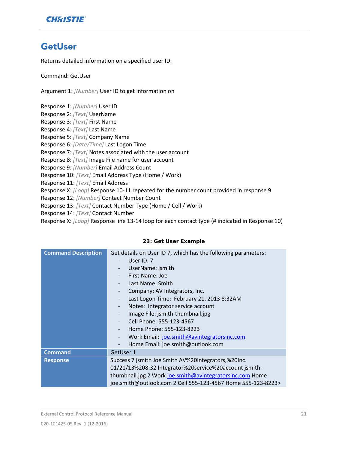

## <span id="page-20-0"></span>GetUser

Returns detailed information on a specified user ID.

Command: GetUser

Argument 1: *[Number]* User ID to get information on

Response 1: *[Number]* User ID Response 2: *[Text]* UserName Response 3: *[Text]* First Name Response 4: *[Text]* Last Name Response 5: *[Text]* Company Name Response 6: *[Date/Time]* Last Logon Time Response 7: *[Text]* Notes associated with the user account Response 8: *[Text]* Image File name for user account Response 9: *[Number]* Email Address Count Response 10: *[Text]* Email Address Type (Home / Work) Response 11: *[Text]* Email Address Response X: *[Loop]* Response 10-11 repeated for the number count provided in response 9 Response 12: *[Number]* Contact Number Count Response 13: *[Text]* Contact Number Type (Home / Cell / Work) Response 14: *[Text]* Contact Number Response X: *[Loop]* Response line 13-14 loop for each contact type (# indicated in Response 10)

#### <span id="page-20-1"></span>**23: Get User Example**

| <b>Command Description</b> | Get details on User ID 7, which has the following parameters: |
|----------------------------|---------------------------------------------------------------|
|                            | User $ID: 7$                                                  |
|                            | UserName: jsmith                                              |
|                            | First Name: Joe                                               |
|                            | Last Name: Smith                                              |
|                            | Company: AV Integrators, Inc.                                 |
|                            | Last Logon Time: February 21, 2013 8:32AM                     |
|                            | Notes: Integrator service account<br>$\overline{\phantom{a}}$ |
|                            | Image File: jsmith-thumbnail.jpg                              |
|                            | Cell Phone: 555-123-4567                                      |
|                            | Home Phone: 555-123-8223                                      |
|                            | Work Email: joe.smith@avintegratorsinc.com                    |
|                            | Home Email: joe.smith@outlook.com                             |
| <b>Command</b>             | GetUser 1                                                     |
| <b>Response</b>            | Success 7 jsmith Joe Smith AV%20Integrators,%20Inc.           |
|                            | 01/21/13%208:32 Integrator%20service%20account jsmith-        |
|                            | thumbnail.jpg 2 Work joe.smith@avintegratorsinc.com Home      |
|                            | joe.smith@outlook.com 2 Cell 555-123-4567 Home 555-123-8223>  |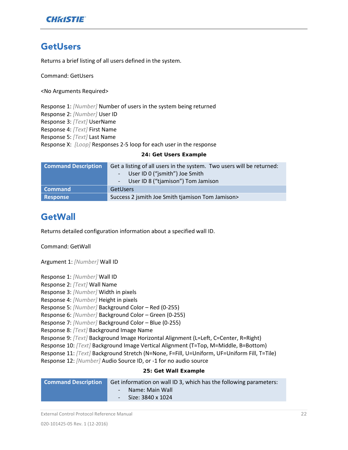

### <span id="page-21-0"></span>**GetUsers**

Returns a brief listing of all users defined in the system.

Command: GetUsers

<No Arguments Required>

Response 1: *[Number]* Number of users in the system being returned Response 2: *[Number]* User ID Response 3: *[Text]* UserName Response 4: *[Text]* First Name Response 5: *[Text]* Last Name Response X: *[Loop]* Responses 2-5 loop for each user in the response

#### <span id="page-21-2"></span>**24: Get Users Example**

| <b>Command Description</b> | Get a listing of all users in the system. Two users will be returned: |
|----------------------------|-----------------------------------------------------------------------|
|                            | - User ID 0 ("jsmith") Joe Smith                                      |
|                            | - User ID 8 ("tjamison") Tom Jamison                                  |
| <b>Command</b>             | <b>GetUsers</b>                                                       |
| Response                   | Success 2 jsmith Joe Smith tjamison Tom Jamison>                      |

## <span id="page-21-1"></span>**GetWall**

Returns detailed configuration information about a specified wall ID.

Command: GetWall

Argument 1: *[Number]* Wall ID

Response 1: *[Number]* Wall ID

Response 2: *[Text]* Wall Name

Response 3: *[Number]* Width in pixels

Response 4: *[Number]* Height in pixels

Response 5: *[Number]* Background Color – Red (0-255)

Response 6: *[Number]* Background Color – Green (0-255)

Response 7: *[Number]* Background Color – Blue (0-255)

Response 8: *[Text]* Background Image Name

Response 9: *[Text]* Background Image Horizontal Alignment (L=Left, C=Center, R=Right)

Response 10: *[Text]* Background Image Vertical Alignment (T=Top, M=Middle, B=Bottom)

Response 11: *[Text]* Background Stretch (N=None, F=Fill, U=Uniform, UF=Uniform Fill, T=Tile)

Response 12: *[Number]* Audio Source ID, or -1 for no audio source

#### <span id="page-21-3"></span>**25: Get Wall Example**

| <b>Command Description</b> | Get information on wall ID 3, which has the following parameters: |
|----------------------------|-------------------------------------------------------------------|
|                            | - Name: Main Wall                                                 |
|                            | $-$ Size: 3840 x 1024                                             |
|                            |                                                                   |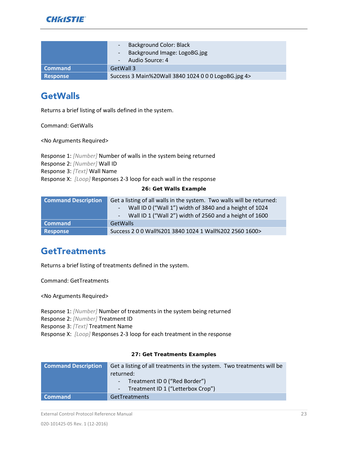

|                 | <b>Background Color: Black</b><br>Background Image: LogoBG.jpg<br>Audio Source: 4 |
|-----------------|-----------------------------------------------------------------------------------|
| Command         | GetWall 3                                                                         |
| <b>Response</b> | Success 3 Main%20Wall 3840 1024 0 0 0 LogoBG.jpg 4>                               |

## <span id="page-22-0"></span>**GetWalls**

Returns a brief listing of walls defined in the system.

Command: GetWalls

<No Arguments Required>

Response 1: *[Number]* Number of walls in the system being returned Response 2: *[Number]* Wall ID Response 3: *[Text]* Wall Name Response X: *[Loop]* Responses 2-3 loop for each wall in the response

#### <span id="page-22-2"></span>**26: Get Walls Example**

| <b>Command Description</b> | Get a listing of all walls in the system. Two walls will be returned:<br>Wall ID 0 ("Wall 1") width of 3840 and a height of 1024<br>Wall ID 1 ("Wall 2") width of 2560 and a height of 1600 |
|----------------------------|---------------------------------------------------------------------------------------------------------------------------------------------------------------------------------------------|
| <b>Command</b>             | <b>GetWalls</b>                                                                                                                                                                             |
| Response                   | Success 2 0 0 Wall%201 3840 1024 1 Wall%202 2560 1600>                                                                                                                                      |

## <span id="page-22-1"></span>**GetTreatments**

Returns a brief listing of treatments defined in the system.

Command: GetTreatments

<No Arguments Required>

Response 1: *[Number]* Number of treatments in the system being returned Response 2: *[Number]* Treatment ID

Response 3: *[Text]* Treatment Name

Response X: *[Loop]* Responses 2-3 loop for each treatment in the response

#### <span id="page-22-3"></span>**27: Get Treatments Examples**

| <b>Command Description</b> | Get a listing of all treatments in the system. Two treatments will be |
|----------------------------|-----------------------------------------------------------------------|
|                            | returned:                                                             |
|                            | - Treatment ID 0 ("Red Border")                                       |
|                            | - Treatment ID 1 ("Letterbox Crop")                                   |
| <b>Command</b>             | <b>GetTreatments</b>                                                  |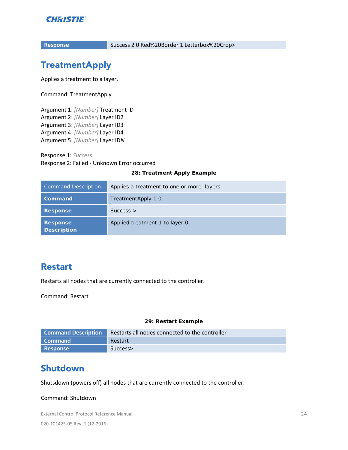

<span id="page-23-0"></span>

**Response** Success 2 0 Red%20Border 1 Letterbox%20Crop>

## **TreatmentApply**

Applies a treatment to a layer.

Command: TreatmentApply

Argument 1: *[Number]* Treatment ID Argument 2: *[Number]* Layer ID2 Argument 3: *[Number]* Layer ID3 Argument 4: *[Number]* Layer ID4 Argument 5: *[Number]* Layer ID*N*

Response 1: *Success* Response 2: Failed - Unknown Error occurred

#### <span id="page-23-3"></span>**28: Treatment Apply Example**

| <b>Command Description</b>            | Applies a treatment to one or more layers |
|---------------------------------------|-------------------------------------------|
| Command                               | TreatmentApply 1 0                        |
| <b>Response</b>                       | $Success$ >                               |
| <b>Response</b><br><b>Description</b> | Applied treatment 1 to layer 0            |

### <span id="page-23-1"></span>Restart

Restarts all nodes that are currently connected to the controller.

Command: Restart

#### <span id="page-23-4"></span>**29: Restart Example**

| <b>Command Description</b> | Restarts all nodes connected to the controller |
|----------------------------|------------------------------------------------|
| l Command                  | Restart                                        |
| <b>Response</b>            | Success>                                       |

## <span id="page-23-2"></span>Shutdown

Shutsdown (powers off) all nodes that are currently connected to the controller.

#### Command: Shutdown

External Control Protocol Reference Manual 24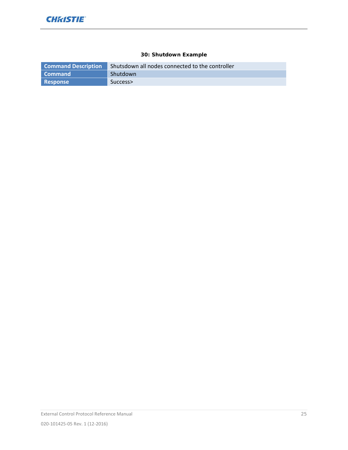#### <span id="page-24-0"></span>**30: Shutdown Example**

| <b>Command Description</b> | Shutsdown all nodes connected to the controller |
|----------------------------|-------------------------------------------------|
| <b>Command</b>             | <b>Shutdown</b>                                 |
| Response                   | Success>                                        |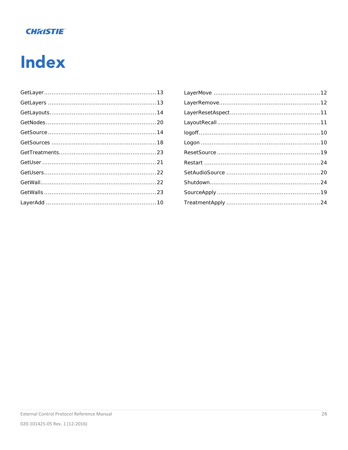## **CHRISTIE**

# <span id="page-25-0"></span>**Index**